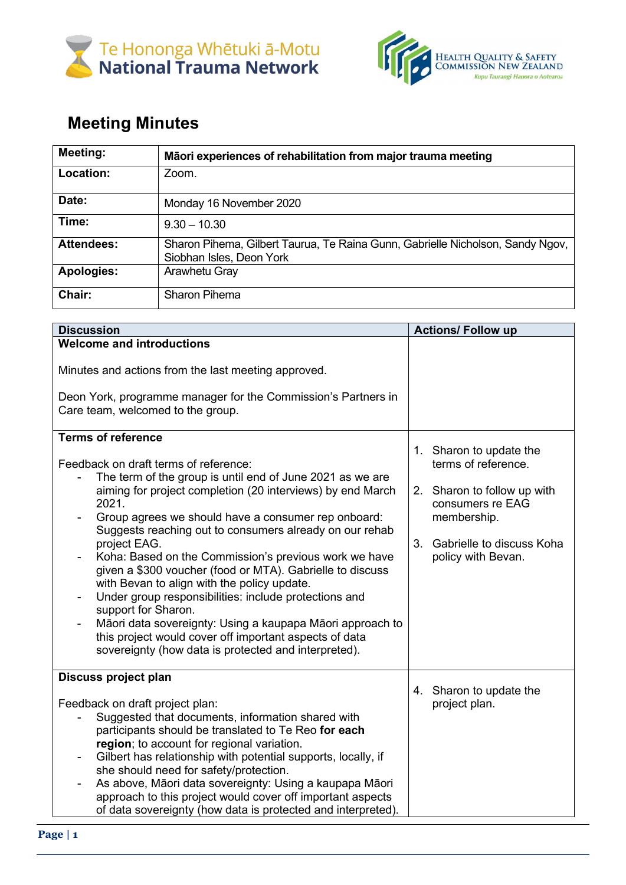



## **Meeting Minutes**

| <b>Meeting:</b>   | Māori experiences of rehabilitation from major trauma meeting                                              |
|-------------------|------------------------------------------------------------------------------------------------------------|
| Location:         | Zoom.                                                                                                      |
| Date:             | Monday 16 November 2020                                                                                    |
| Time:             | $9.30 - 10.30$                                                                                             |
| <b>Attendees:</b> | Sharon Pihema, Gilbert Taurua, Te Raina Gunn, Gabrielle Nicholson, Sandy Ngov,<br>Siobhan Isles, Deon York |
| <b>Apologies:</b> | Arawhetu Gray                                                                                              |
| Chair:            | Sharon Pihema                                                                                              |

| <b>Discussion</b>                                                                                                                                                                                                                                                                                                                                                                                                                                                                                                                                                                                                                                                                                                                                                                              | <b>Actions/ Follow up</b>                                                                                                                                                 |
|------------------------------------------------------------------------------------------------------------------------------------------------------------------------------------------------------------------------------------------------------------------------------------------------------------------------------------------------------------------------------------------------------------------------------------------------------------------------------------------------------------------------------------------------------------------------------------------------------------------------------------------------------------------------------------------------------------------------------------------------------------------------------------------------|---------------------------------------------------------------------------------------------------------------------------------------------------------------------------|
| <b>Welcome and introductions</b>                                                                                                                                                                                                                                                                                                                                                                                                                                                                                                                                                                                                                                                                                                                                                               |                                                                                                                                                                           |
| Minutes and actions from the last meeting approved.                                                                                                                                                                                                                                                                                                                                                                                                                                                                                                                                                                                                                                                                                                                                            |                                                                                                                                                                           |
| Deon York, programme manager for the Commission's Partners in<br>Care team, welcomed to the group.                                                                                                                                                                                                                                                                                                                                                                                                                                                                                                                                                                                                                                                                                             |                                                                                                                                                                           |
| <b>Terms of reference</b><br>Feedback on draft terms of reference:<br>The term of the group is until end of June 2021 as we are<br>aiming for project completion (20 interviews) by end March<br>2021.<br>Group agrees we should have a consumer rep onboard:<br>Suggests reaching out to consumers already on our rehab<br>project EAG.<br>Koha: Based on the Commission's previous work we have<br>given a \$300 voucher (food or MTA). Gabrielle to discuss<br>with Bevan to align with the policy update.<br>Under group responsibilities: include protections and<br>$\blacksquare$<br>support for Sharon.<br>Māori data sovereignty: Using a kaupapa Māori approach to<br>this project would cover off important aspects of data<br>sovereignty (how data is protected and interpreted). | 1. Sharon to update the<br>terms of reference.<br>2. Sharon to follow up with<br>consumers re EAG<br>membership.<br>3.<br>Gabrielle to discuss Koha<br>policy with Bevan. |
| Discuss project plan                                                                                                                                                                                                                                                                                                                                                                                                                                                                                                                                                                                                                                                                                                                                                                           | 4. Sharon to update the                                                                                                                                                   |
| Feedback on draft project plan:<br>Suggested that documents, information shared with<br>participants should be translated to Te Reo for each<br>region; to account for regional variation.<br>Gilbert has relationship with potential supports, locally, if<br>$\blacksquare$<br>she should need for safety/protection.<br>As above, Māori data sovereignty: Using a kaupapa Māori<br>approach to this project would cover off important aspects<br>of data sovereignty (how data is protected and interpreted).                                                                                                                                                                                                                                                                               | project plan.                                                                                                                                                             |